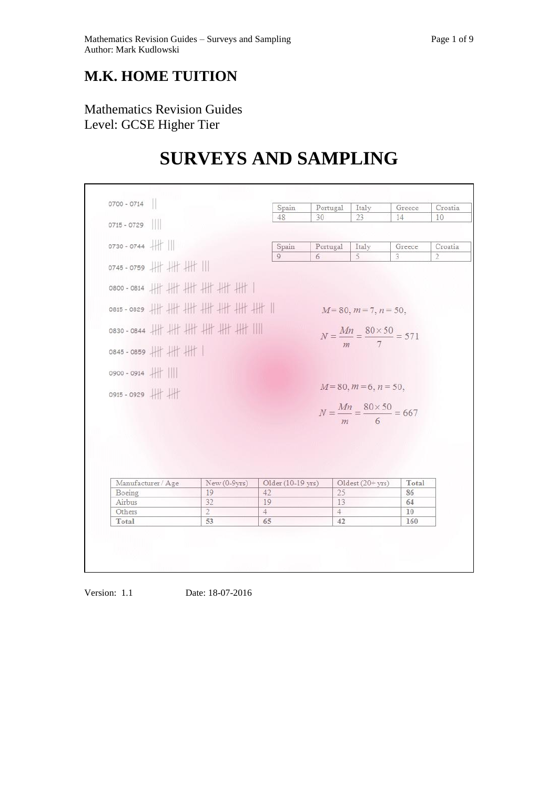## **M.K. HOME TUITION**

## Mathematics Revision Guides Level: GCSE Higher Tier

г

# **SURVEYS AND SAMPLING**

|                  | 0700 - 0714        |                                   | Spain                | Portugal             | Italy                                             | Greece   | Croatia        |
|------------------|--------------------|-----------------------------------|----------------------|----------------------|---------------------------------------------------|----------|----------------|
|                  |                    |                                   | 48                   | 30                   | 23                                                | 14       | 10             |
| 0715 - 0729      |                    |                                   |                      |                      |                                                   |          |                |
| 0730 - 0744      |                    |                                   | Spain                | Portugal             | Italy                                             | Greece   | Croatia        |
|                  | 0745 - 0759 # # #  |                                   | 9                    | 6                    | 5                                                 | 3        | $\overline{2}$ |
|                  |                    | 0800 - 0814 + + + + + + + + + + + |                      |                      |                                                   |          |                |
|                  |                    | 0815-0829 # # # # # # # #         |                      |                      | $M=80, m=7, n=50,$                                |          |                |
|                  |                    | 0830-0844 ########                |                      |                      | $N = \frac{Mn}{m} = \frac{80 \times 50}{7} = 571$ |          |                |
|                  | 0845 - 0859 / / /  |                                   |                      |                      |                                                   |          |                |
|                  | 0900 - 0914        |                                   |                      |                      |                                                   |          |                |
|                  | 0915 - 0929 #      |                                   |                      |                      | $M=80, m=6, n=50,$                                |          |                |
|                  |                    |                                   |                      |                      | $N = \frac{Mn}{m} = \frac{80 \times 50}{6} = 667$ |          |                |
|                  |                    |                                   |                      |                      |                                                   |          |                |
|                  |                    |                                   |                      |                      |                                                   |          |                |
|                  |                    |                                   |                      |                      |                                                   |          |                |
|                  |                    |                                   |                      |                      |                                                   |          |                |
|                  |                    |                                   |                      |                      |                                                   |          |                |
|                  | Manufacturer / Age | New (0-9yrs)                      | Older (10-19 yrs)    |                      | Oldest (20+ yrs)                                  | Total    |                |
| Boeing           |                    | 19                                | 42                   | 25                   |                                                   | 86       |                |
| Airbus<br>Others |                    | 32<br>$\overline{2}$              | 19<br>$\overline{4}$ | 13<br>$\overline{4}$ |                                                   | 64<br>10 |                |

Version: 1.1 Date: 18-07-2016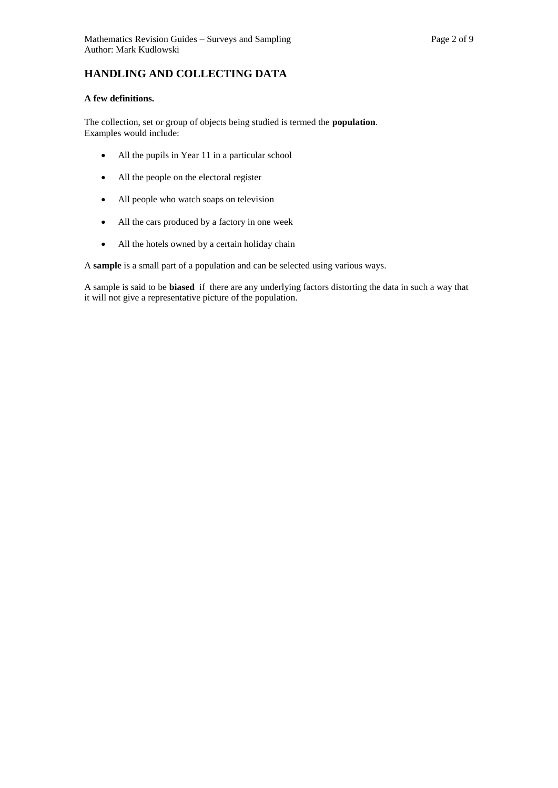### **HANDLING AND COLLECTING DATA**

#### **A few definitions.**

The collection, set or group of objects being studied is termed the **population**. Examples would include:

- All the pupils in Year 11 in a particular school
- All the people on the electoral register
- All people who watch soaps on television
- All the cars produced by a factory in one week
- All the hotels owned by a certain holiday chain

A **sample** is a small part of a population and can be selected using various ways.

A sample is said to be **biased** if there are any underlying factors distorting the data in such a way that it will not give a representative picture of the population.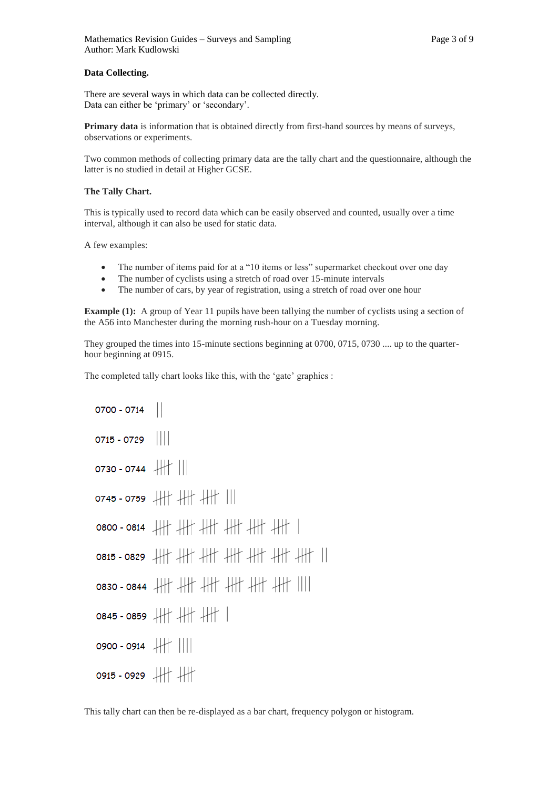#### **Data Collecting.**

There are several ways in which data can be collected directly. Data can either be 'primary' or 'secondary'.

**Primary data** is information that is obtained directly from first-hand sources by means of surveys, observations or experiments.

Two common methods of collecting primary data are the tally chart and the questionnaire, although the latter is no studied in detail at Higher GCSE.

#### **The Tally Chart.**

This is typically used to record data which can be easily observed and counted, usually over a time interval, although it can also be used for static data.

A few examples:

- The number of items paid for at a "10 items or less" supermarket checkout over one day
- The number of cyclists using a stretch of road over 15-minute intervals
- The number of cars, by year of registration, using a stretch of road over one hour

**Example** (1): A group of Year 11 pupils have been tallying the number of cyclists using a section of the A56 into Manchester during the morning rush-hour on a Tuesday morning.

They grouped the times into 15-minute sections beginning at 0700, 0715, 0730 .... up to the quarterhour beginning at 0915.

The completed tally chart looks like this, with the 'gate' graphics :

```
0700 - 0714 |
0715 - 07290730 - 0744 # ||
0745 - 0759 \downarrow \downarrow \downarrow \downarrow \downarrow \downarrow \downarrow \uparrow \downarrow \parallel0800 - 0814 卅 卅 卅 卅 卅 卅
0815 - 0829 卅卅卅卅卅卅卅
0830-0844 卅卅卅卅卅卅|
0845 - 0859 卅 卅 卅 |
0900 - 0914 # ||||
0915 - 0929 # #
```
This tally chart can then be re-displayed as a bar chart, frequency polygon or histogram.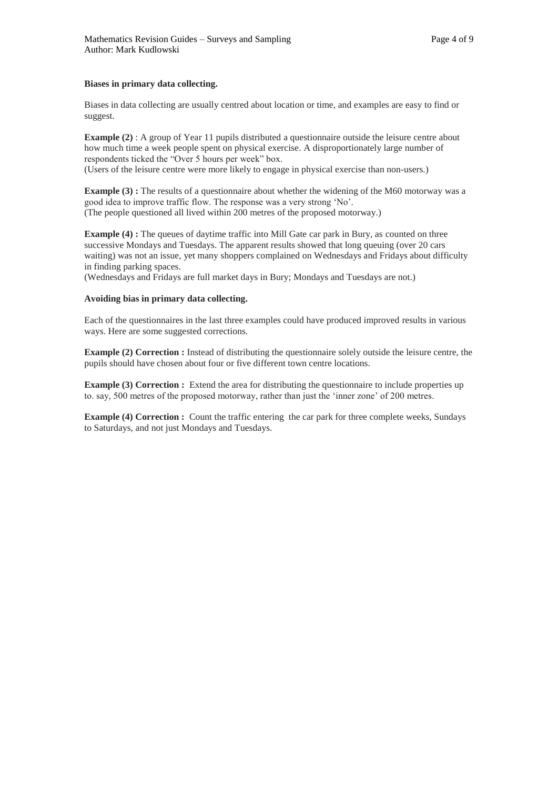#### **Biases in primary data collecting.**

Biases in data collecting are usually centred about location or time, and examples are easy to find or suggest.

**Example (2)** : A group of Year 11 pupils distributed a questionnaire outside the leisure centre about how much time a week people spent on physical exercise. A disproportionately large number of respondents ticked the "Over 5 hours per week" box. (Users of the leisure centre were more likely to engage in physical exercise than non-users.)

**Example (3) :** The results of a questionnaire about whether the widening of the M60 motorway was a good idea to improve traffic flow. The response was a very strong 'No'. (The people questioned all lived within 200 metres of the proposed motorway.)

**Example (4):** The queues of daytime traffic into Mill Gate car park in Bury, as counted on three successive Mondays and Tuesdays. The apparent results showed that long queuing (over 20 cars waiting) was not an issue, yet many shoppers complained on Wednesdays and Fridays about difficulty in finding parking spaces.

(Wednesdays and Fridays are full market days in Bury; Mondays and Tuesdays are not.)

#### **Avoiding bias in primary data collecting.**

Each of the questionnaires in the last three examples could have produced improved results in various ways. Here are some suggested corrections.

**Example (2) Correction :** Instead of distributing the questionnaire solely outside the leisure centre, the pupils should have chosen about four or five different town centre locations.

**Example (3) Correction <b>:** Extend the area for distributing the questionnaire to include properties up to. say, 500 metres of the proposed motorway, rather than just the 'inner zone' of 200 metres.

**Example (4) Correction :** Count the traffic entering the car park for three complete weeks, Sundays to Saturdays, and not just Mondays and Tuesdays.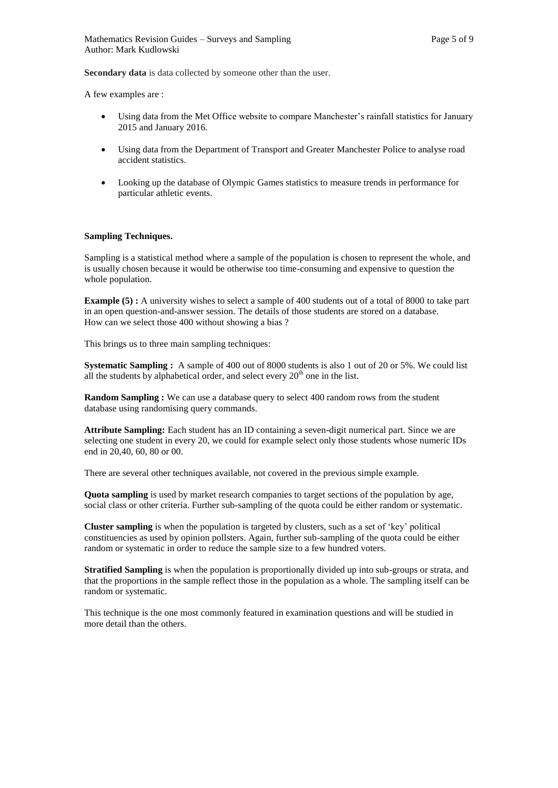**Secondary data** is data collected by someone other than the user.

A few examples are :

- Using data from the Met Office website to compare Manchester's rainfall statistics for January 2015 and January 2016.
- Using data from the Department of Transport and Greater Manchester Police to analyse road accident statistics.
- Looking up the database of Olympic Games statistics to measure trends in performance for particular athletic events.

#### **Sampling Techniques.**

Sampling is a statistical method where a sample of the population is chosen to represent the whole, and is usually chosen because it would be otherwise too time-consuming and expensive to question the whole population.

**Example (5) :** A university wishes to select a sample of 400 students out of a total of 8000 to take part in an open question-and-answer session. The details of those students are stored on a database. How can we select those 400 without showing a bias ?

This brings us to three main sampling techniques:

**Systematic Sampling :** A sample of 400 out of 8000 students is also 1 out of 20 or 5%. We could list all the students by alphabetical order, and select every  $20<sup>th</sup>$  one in the list.

**Random Sampling :** We can use a database query to select 400 random rows from the student database using randomising query commands.

**Attribute Sampling:** Each student has an ID containing a seven-digit numerical part. Since we are selecting one student in every 20, we could for example select only those students whose numeric IDs end in 20,40, 60, 80 or 00.

There are several other techniques available, not covered in the previous simple example.

**Quota sampling** is used by market research companies to target sections of the population by age, social class or other criteria. Further sub-sampling of the quota could be either random or systematic.

**Cluster sampling** is when the population is targeted by clusters, such as a set of 'key' political constituencies as used by opinion pollsters. Again, further sub-sampling of the quota could be either random or systematic in order to reduce the sample size to a few hundred voters.

**Stratified Sampling** is when the population is proportionally divided up into sub-groups or strata, and that the proportions in the sample reflect those in the population as a whole. The sampling itself can be random or systematic.

This technique is the one most commonly featured in examination questions and will be studied in more detail than the others.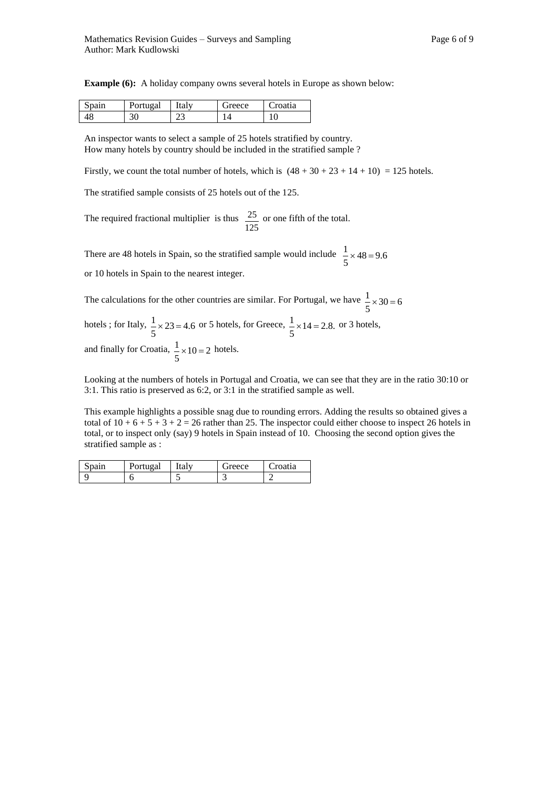|  |  |  | <b>Example (6):</b> A holiday company owns several hotels in Europe as shown below: |
|--|--|--|-------------------------------------------------------------------------------------|
|--|--|--|-------------------------------------------------------------------------------------|

| $\sim$<br>Spain | Portugal | ıtaly | ireece | <sup>o</sup> roatia |
|-----------------|----------|-------|--------|---------------------|
|                 | υU       | ^^    |        | ν                   |

An inspector wants to select a sample of 25 hotels stratified by country. How many hotels by country should be included in the stratified sample ?

Firstly, we count the total number of hotels, which is  $(48 + 30 + 23 + 14 + 10) = 125$  hotels.

The stratified sample consists of 25 hotels out of the 125.

The required fractional multiplier is thus 125  $\frac{25}{25}$  or one fifth of the total.

There are 48 hotels in Spain, so the stratified sample would include  $\frac{1}{5} \times 48 = 9.6$  $\frac{1}{2} \times 48 =$ 

or 10 hotels in Spain to the nearest integer.

The calculations for the other countries are similar. For Portugal, we have  $\frac{1}{5} \times 30 = 6$  $\frac{1}{2} \times 30 =$ hotels ; for Italy,  $\frac{1}{5} \times 23 = 4.6$  $\frac{1}{5}$  × 23 = 4.6 or 5 hotels, for Greece,  $\frac{1}{5}$  × 14 = 2.8.  $\frac{1}{2}$  × 14 = 2.8. or 3 hotels, and finally for Croatia,  $\frac{1}{5} \times 10 = 2$  $\frac{1}{2} \times 10 = 2$  hotels.

Looking at the numbers of hotels in Portugal and Croatia, we can see that they are in the ratio 30:10 or 3:1. This ratio is preserved as 6:2, or 3:1 in the stratified sample as well.

This example highlights a possible snag due to rounding errors. Adding the results so obtained gives a total of  $10 + 6 + 5 + 3 + 2 = 26$  rather than 25. The inspector could either choose to inspect 26 hotels in total, or to inspect only (say) 9 hotels in Spain instead of 10. Choosing the second option gives the stratified sample as :

| spain | Portugal | <b>Italy</b> | rreece. | `roatıa |
|-------|----------|--------------|---------|---------|
|       |          |              | -       |         |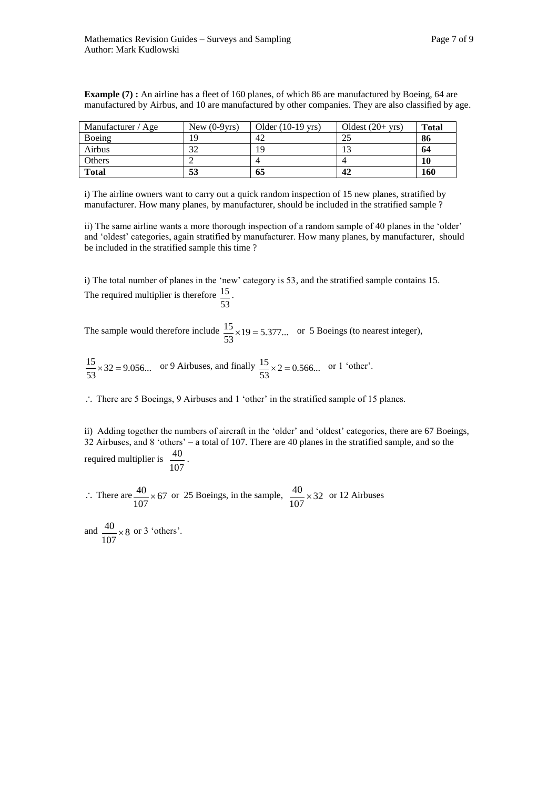| Manufacturer / Age | New $(0-9\gamma rs)$ | Older $(10-19 \text{ yrs})$ | Oldest $(20+vrs)$ | <b>Total</b> |
|--------------------|----------------------|-----------------------------|-------------------|--------------|
| Boeing             | 1 Q                  | 42                          | $\gamma$          | 86           |
| Airbus             | 30                   | 19                          |                   | 64           |
| Others             |                      |                             |                   | 10           |
| <b>Total</b>       | 53                   | 65                          | 42                | 160          |

**Example (7) :** An airline has a fleet of 160 planes, of which 86 are manufactured by Boeing, 64 are manufactured by Airbus, and 10 are manufactured by other companies. They are also classified by age.

i) The airline owners want to carry out a quick random inspection of 15 new planes, stratified by manufacturer. How many planes, by manufacturer, should be included in the stratified sample ?

ii) The same airline wants a more thorough inspection of a random sample of 40 planes in the 'older' and 'oldest' categories, again stratified by manufacturer. How many planes, by manufacturer, should be included in the stratified sample this time ?

i) The total number of planes in the 'new' category is 53, and the stratified sample contains 15. The required multiplier is therefore 53 15 .

The sample would therefore include  $\frac{13}{22} \times 19 = 5.377...$ 53  $\frac{15}{25} \times 19 = 5.377...$  or 5 Boeings (to nearest integer),

 $\frac{15}{53} \times 32 = 9.056...$  $\frac{15}{53} \times 32 = 9.056...$  or 9 Airbuses, and finally  $\frac{15}{53} \times 2 = 0.566...$  $\frac{15}{22} \times 2 = 0.566...$  or 1 'other'.

: There are 5 Boeings, 9 Airbuses and 1 'other' in the stratified sample of 15 planes.

ii) Adding together the numbers of aircraft in the 'older' and 'oldest' categories, there are 67 Boeings, 32 Airbuses, and 8 'others' – a total of 107. There are 40 planes in the stratified sample, and so the required multiplier is 107  $\frac{40}{1}$ .

 $\therefore$  There are  $\frac{40}{105} \times 67$ 107  $\frac{40}{100} \times 67$  or 25 Boeings, in the sample,  $\frac{40}{100} \times 32$ 107  $\frac{40}{100}$  × 32 or 12 Airbuses

and  $\frac{40}{185} \times 8$ 107  $\frac{40}{25} \times 8$  or 3 'others'.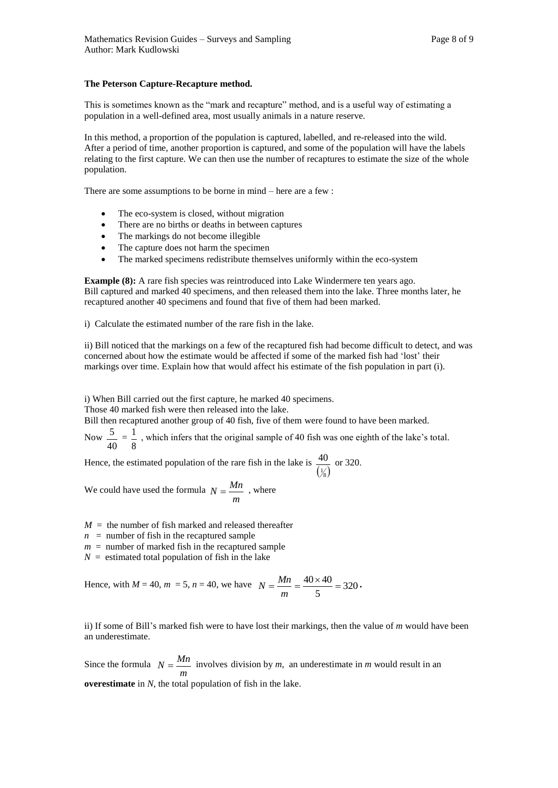#### **The Peterson Capture-Recapture method.**

This is sometimes known as the "mark and recapture" method, and is a useful way of estimating a population in a well-defined area, most usually animals in a nature reserve.

In this method, a proportion of the population is captured, labelled, and re-released into the wild. After a period of time, another proportion is captured, and some of the population will have the labels relating to the first capture. We can then use the number of recaptures to estimate the size of the whole population.

There are some assumptions to be borne in mind – here are a few :

- The eco-system is closed, without migration
- There are no births or deaths in between captures
- The markings do not become illegible
- The capture does not harm the specimen
- The marked specimens redistribute themselves uniformly within the eco-system

**Example (8):** A rare fish species was reintroduced into Lake Windermere ten years ago. Bill captured and marked 40 specimens, and then released them into the lake. Three months later, he recaptured another 40 specimens and found that five of them had been marked.

i) Calculate the estimated number of the rare fish in the lake.

ii) Bill noticed that the markings on a few of the recaptured fish had become difficult to detect, and was concerned about how the estimate would be affected if some of the marked fish had 'lost' their markings over time. Explain how that would affect his estimate of the fish population in part (i).

i) When Bill carried out the first capture, he marked 40 specimens.

Those 40 marked fish were then released into the lake.

Bill then recaptured another group of 40 fish, five of them were found to have been marked.

Now 40  $\frac{5}{-}$  = 8  $\frac{1}{x}$ , which infers that the original sample of 40 fish was one eighth of the lake's total.

Hence, the estimated population of the rare fish in the lake is  $\left(\frac{1}{8}\right)$  $\frac{40}{10}$  or 320.

We could have used the formula *m*  $N = \frac{Mn}{N}$ , where

 $M =$  the number of fish marked and released thereafter

- $n =$  number of fish in the recaptured sample
- $m =$  number of marked fish in the recaptured sample
- $N =$  estimated total population of fish in the lake

Hence, with 
$$
M = 40
$$
,  $m = 5$ ,  $n = 40$ , we have  $N = \frac{Mn}{m} = \frac{40 \times 40}{5} = 320$ .

ii) If some of Bill's marked fish were to have lost their markings, then the value of *m* would have been an underestimate.

Since the formula *m*  $N = \frac{Mn}{N}$  involves division by *m*, an underestimate in *m* would result in an

**overestimate** in *N*, the total population of fish in the lake.